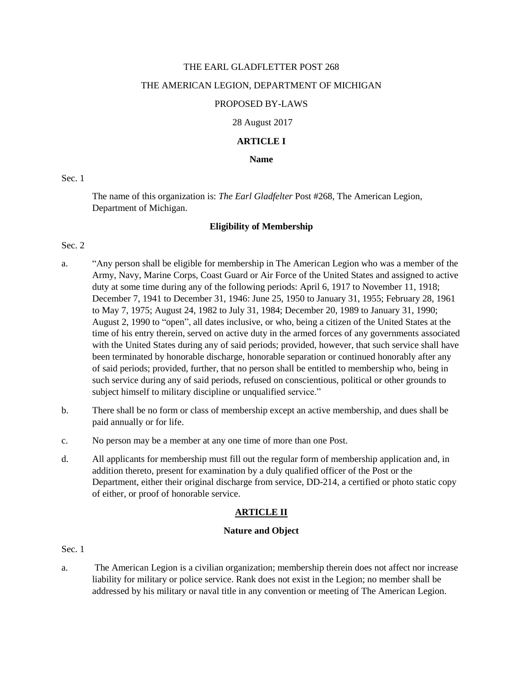#### THE EARL GLADFLETTER POST 268

#### THE AMERICAN LEGION, DEPARTMENT OF MICHIGAN

#### PROPOSED BY-LAWS

#### 28 August 2017

# **ARTICLE I**

#### **Name**

#### Sec. 1

The name of this organization is: *The Earl Gladfelter* Post #268, The American Legion, Department of Michigan.

#### **Eligibility of Membership**

## Sec. 2

- a. "Any person shall be eligible for membership in The American Legion who was a member of the Army, Navy, Marine Corps, Coast Guard or Air Force of the United States and assigned to active duty at some time during any of the following periods: April 6, 1917 to November 11, 1918; December 7, 1941 to December 31, 1946: June 25, 1950 to January 31, 1955; February 28, 1961 to May 7, 1975; August 24, 1982 to July 31, 1984; December 20, 1989 to January 31, 1990; August 2, 1990 to "open", all dates inclusive, or who, being a citizen of the United States at the time of his entry therein, served on active duty in the armed forces of any governments associated with the United States during any of said periods; provided, however, that such service shall have been terminated by honorable discharge, honorable separation or continued honorably after any of said periods; provided, further, that no person shall be entitled to membership who, being in such service during any of said periods, refused on conscientious, political or other grounds to subject himself to military discipline or unqualified service."
- b. There shall be no form or class of membership except an active membership, and dues shall be paid annually or for life.
- c. No person may be a member at any one time of more than one Post.
- d. All applicants for membership must fill out the regular form of membership application and, in addition thereto, present for examination by a duly qualified officer of the Post or the Department, either their original discharge from service, DD-214, a certified or photo static copy of either, or proof of honorable service.

## **ARTICLE II**

### **Nature and Object**

#### Sec. 1

a. The American Legion is a civilian organization; membership therein does not affect nor increase liability for military or police service. Rank does not exist in the Legion; no member shall be addressed by his military or naval title in any convention or meeting of The American Legion.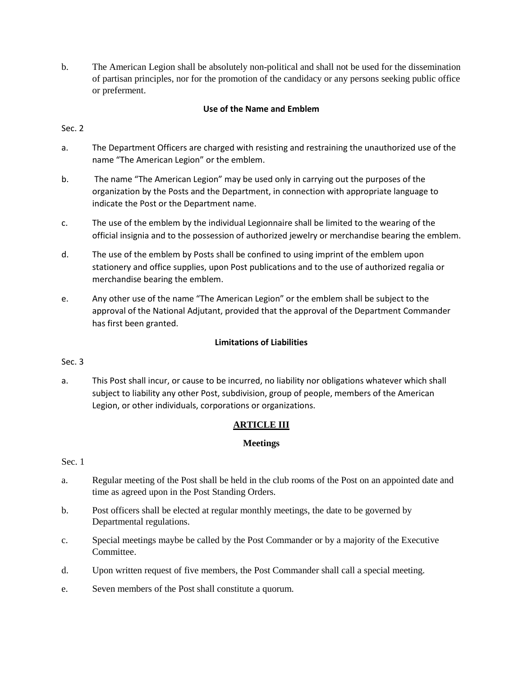b. The American Legion shall be absolutely non-political and shall not be used for the dissemination of partisan principles, nor for the promotion of the candidacy or any persons seeking public office or preferment.

# **Use of the Name and Emblem**

# Sec. 2

- a. The Department Officers are charged with resisting and restraining the unauthorized use of the name "The American Legion" or the emblem.
- b. The name "The American Legion" may be used only in carrying out the purposes of the organization by the Posts and the Department, in connection with appropriate language to indicate the Post or the Department name.
- c. The use of the emblem by the individual Legionnaire shall be limited to the wearing of the official insignia and to the possession of authorized jewelry or merchandise bearing the emblem.
- d. The use of the emblem by Posts shall be confined to using imprint of the emblem upon stationery and office supplies, upon Post publications and to the use of authorized regalia or merchandise bearing the emblem.
- e. Any other use of the name "The American Legion" or the emblem shall be subject to the approval of the National Adjutant, provided that the approval of the Department Commander has first been granted.

## **Limitations of Liabilities**

## Sec. 3

a. This Post shall incur, or cause to be incurred, no liability nor obligations whatever which shall subject to liability any other Post, subdivision, group of people, members of the American Legion, or other individuals, corporations or organizations.

# **ARTICLE III**

# **Meetings**

## Sec. 1

- a. Regular meeting of the Post shall be held in the club rooms of the Post on an appointed date and time as agreed upon in the Post Standing Orders.
- b. Post officers shall be elected at regular monthly meetings, the date to be governed by Departmental regulations.
- c. Special meetings maybe be called by the Post Commander or by a majority of the Executive Committee.
- d. Upon written request of five members, the Post Commander shall call a special meeting.
- e. Seven members of the Post shall constitute a quorum.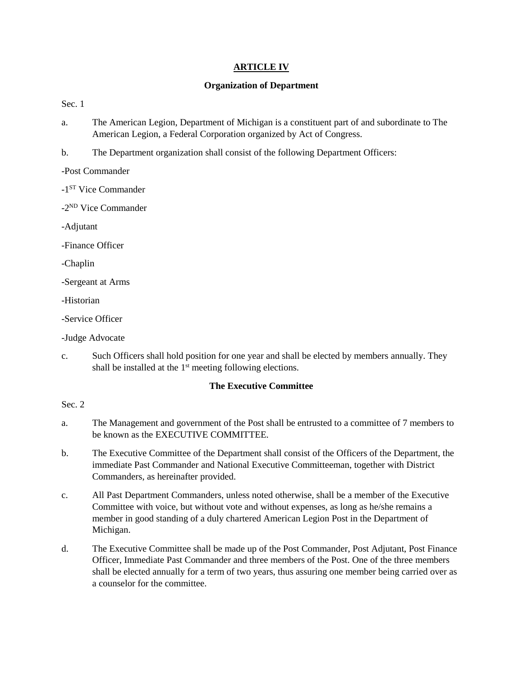# **ARTICLE IV**

## **Organization of Department**

Sec. 1

- a. The American Legion, Department of Michigan is a constituent part of and subordinate to The American Legion, a Federal Corporation organized by Act of Congress.
- b. The Department organization shall consist of the following Department Officers:

-Post Commander

- -1 ST Vice Commander
- -2 ND Vice Commander

-Adjutant

-Finance Officer

-Chaplin

-Sergeant at Arms

-Historian

-Service Officer

-Judge Advocate

c. Such Officers shall hold position for one year and shall be elected by members annually. They shall be installed at the  $1<sup>st</sup>$  meeting following elections.

# **The Executive Committee**

Sec. 2

- a. The Management and government of the Post shall be entrusted to a committee of 7 members to be known as the EXECUTIVE COMMITTEE.
- b. The Executive Committee of the Department shall consist of the Officers of the Department, the immediate Past Commander and National Executive Committeeman, together with District Commanders, as hereinafter provided.
- c. All Past Department Commanders, unless noted otherwise, shall be a member of the Executive Committee with voice, but without vote and without expenses, as long as he/she remains a member in good standing of a duly chartered American Legion Post in the Department of Michigan.
- d. The Executive Committee shall be made up of the Post Commander, Post Adjutant, Post Finance Officer, Immediate Past Commander and three members of the Post. One of the three members shall be elected annually for a term of two years, thus assuring one member being carried over as a counselor for the committee.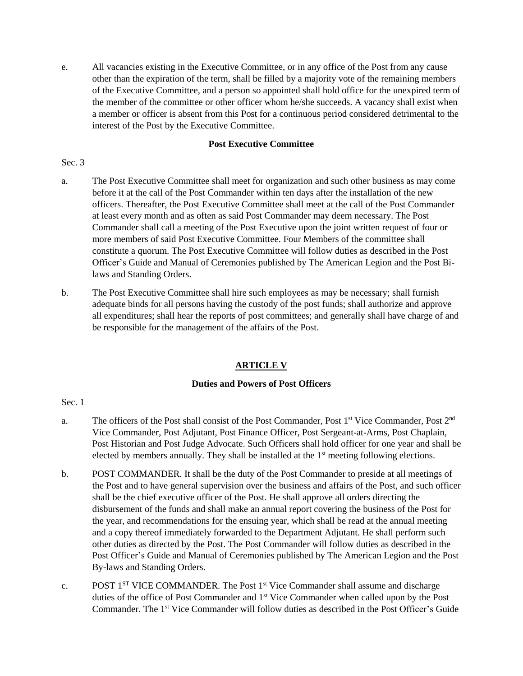e. All vacancies existing in the Executive Committee, or in any office of the Post from any cause other than the expiration of the term, shall be filled by a majority vote of the remaining members of the Executive Committee, and a person so appointed shall hold office for the unexpired term of the member of the committee or other officer whom he/she succeeds. A vacancy shall exist when a member or officer is absent from this Post for a continuous period considered detrimental to the interest of the Post by the Executive Committee.

#### **Post Executive Committee**

#### Sec. 3

- a. The Post Executive Committee shall meet for organization and such other business as may come before it at the call of the Post Commander within ten days after the installation of the new officers. Thereafter, the Post Executive Committee shall meet at the call of the Post Commander at least every month and as often as said Post Commander may deem necessary. The Post Commander shall call a meeting of the Post Executive upon the joint written request of four or more members of said Post Executive Committee. Four Members of the committee shall constitute a quorum. The Post Executive Committee will follow duties as described in the Post Officer's Guide and Manual of Ceremonies published by The American Legion and the Post Bilaws and Standing Orders.
- b. The Post Executive Committee shall hire such employees as may be necessary; shall furnish adequate binds for all persons having the custody of the post funds; shall authorize and approve all expenditures; shall hear the reports of post committees; and generally shall have charge of and be responsible for the management of the affairs of the Post.

## **ARTICLE V**

## **Duties and Powers of Post Officers**

## Sec. 1

- a. The officers of the Post shall consist of the Post Commander, Post 1<sup>st</sup> Vice Commander, Post 2<sup>nd</sup> Vice Commander, Post Adjutant, Post Finance Officer, Post Sergeant-at-Arms, Post Chaplain, Post Historian and Post Judge Advocate. Such Officers shall hold officer for one year and shall be elected by members annually. They shall be installed at the 1<sup>st</sup> meeting following elections.
- b. POST COMMANDER. It shall be the duty of the Post Commander to preside at all meetings of the Post and to have general supervision over the business and affairs of the Post, and such officer shall be the chief executive officer of the Post. He shall approve all orders directing the disbursement of the funds and shall make an annual report covering the business of the Post for the year, and recommendations for the ensuing year, which shall be read at the annual meeting and a copy thereof immediately forwarded to the Department Adjutant. He shall perform such other duties as directed by the Post. The Post Commander will follow duties as described in the Post Officer's Guide and Manual of Ceremonies published by The American Legion and the Post By-laws and Standing Orders.
- c. POST 1<sup>ST</sup> VICE COMMANDER. The Post 1<sup>st</sup> Vice Commander shall assume and discharge duties of the office of Post Commander and 1<sup>st</sup> Vice Commander when called upon by the Post Commander. The 1<sup>st</sup> Vice Commander will follow duties as described in the Post Officer's Guide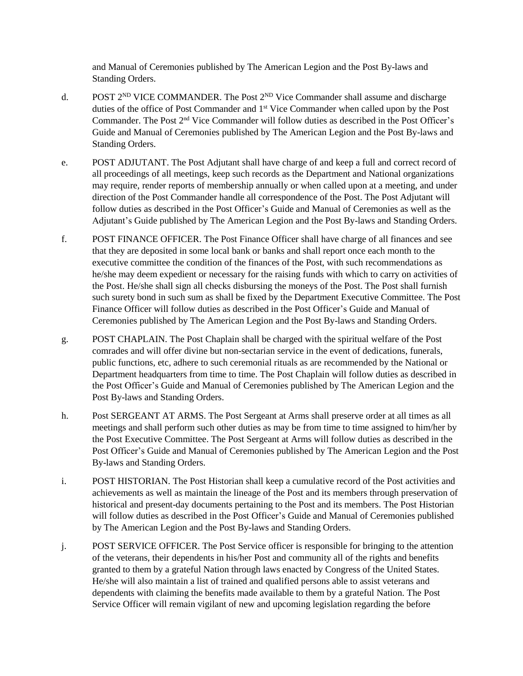and Manual of Ceremonies published by The American Legion and the Post By-laws and Standing Orders.

- d. POST  $2^{ND}$  VICE COMMANDER. The Post  $2^{ND}$  Vice Commander shall assume and discharge duties of the office of Post Commander and 1<sup>st</sup> Vice Commander when called upon by the Post Commander. The Post 2<sup>nd</sup> Vice Commander will follow duties as described in the Post Officer's Guide and Manual of Ceremonies published by The American Legion and the Post By-laws and Standing Orders.
- e. POST ADJUTANT. The Post Adjutant shall have charge of and keep a full and correct record of all proceedings of all meetings, keep such records as the Department and National organizations may require, render reports of membership annually or when called upon at a meeting, and under direction of the Post Commander handle all correspondence of the Post. The Post Adjutant will follow duties as described in the Post Officer's Guide and Manual of Ceremonies as well as the Adjutant's Guide published by The American Legion and the Post By-laws and Standing Orders.
- f. POST FINANCE OFFICER. The Post Finance Officer shall have charge of all finances and see that they are deposited in some local bank or banks and shall report once each month to the executive committee the condition of the finances of the Post, with such recommendations as he/she may deem expedient or necessary for the raising funds with which to carry on activities of the Post. He/she shall sign all checks disbursing the moneys of the Post. The Post shall furnish such surety bond in such sum as shall be fixed by the Department Executive Committee. The Post Finance Officer will follow duties as described in the Post Officer's Guide and Manual of Ceremonies published by The American Legion and the Post By-laws and Standing Orders.
- g. POST CHAPLAIN. The Post Chaplain shall be charged with the spiritual welfare of the Post comrades and will offer divine but non-sectarian service in the event of dedications, funerals, public functions, etc, adhere to such ceremonial rituals as are recommended by the National or Department headquarters from time to time. The Post Chaplain will follow duties as described in the Post Officer's Guide and Manual of Ceremonies published by The American Legion and the Post By-laws and Standing Orders.
- h. Post SERGEANT AT ARMS. The Post Sergeant at Arms shall preserve order at all times as all meetings and shall perform such other duties as may be from time to time assigned to him/her by the Post Executive Committee. The Post Sergeant at Arms will follow duties as described in the Post Officer's Guide and Manual of Ceremonies published by The American Legion and the Post By-laws and Standing Orders.
- i. POST HISTORIAN. The Post Historian shall keep a cumulative record of the Post activities and achievements as well as maintain the lineage of the Post and its members through preservation of historical and present-day documents pertaining to the Post and its members. The Post Historian will follow duties as described in the Post Officer's Guide and Manual of Ceremonies published by The American Legion and the Post By-laws and Standing Orders.
- j. POST SERVICE OFFICER. The Post Service officer is responsible for bringing to the attention of the veterans, their dependents in his/her Post and community all of the rights and benefits granted to them by a grateful Nation through laws enacted by Congress of the United States. He/she will also maintain a list of trained and qualified persons able to assist veterans and dependents with claiming the benefits made available to them by a grateful Nation. The Post Service Officer will remain vigilant of new and upcoming legislation regarding the before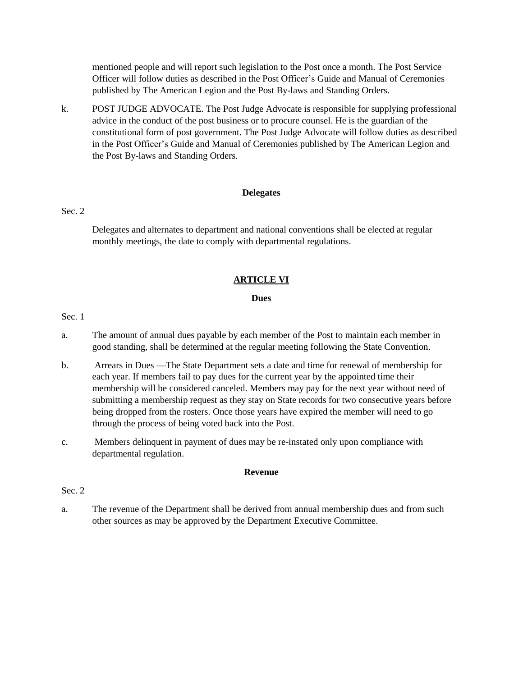mentioned people and will report such legislation to the Post once a month. The Post Service Officer will follow duties as described in the Post Officer's Guide and Manual of Ceremonies published by The American Legion and the Post By-laws and Standing Orders.

k. POST JUDGE ADVOCATE. The Post Judge Advocate is responsible for supplying professional advice in the conduct of the post business or to procure counsel. He is the guardian of the constitutional form of post government. The Post Judge Advocate will follow duties as described in the Post Officer's Guide and Manual of Ceremonies published by The American Legion and the Post By-laws and Standing Orders.

## **Delegates**

#### Sec. 2

Delegates and alternates to department and national conventions shall be elected at regular monthly meetings, the date to comply with departmental regulations.

## **ARTICLE VI**

#### **Dues**

#### Sec. 1

- a. The amount of annual dues payable by each member of the Post to maintain each member in good standing, shall be determined at the regular meeting following the State Convention.
- b. Arrears in Dues —The State Department sets a date and time for renewal of membership for each year. If members fail to pay dues for the current year by the appointed time their membership will be considered canceled. Members may pay for the next year without need of submitting a membership request as they stay on State records for two consecutive years before being dropped from the rosters. Once those years have expired the member will need to go through the process of being voted back into the Post.
- c. Members delinquent in payment of dues may be re-instated only upon compliance with departmental regulation.

#### **Revenue**

## Sec. 2

a. The revenue of the Department shall be derived from annual membership dues and from such other sources as may be approved by the Department Executive Committee.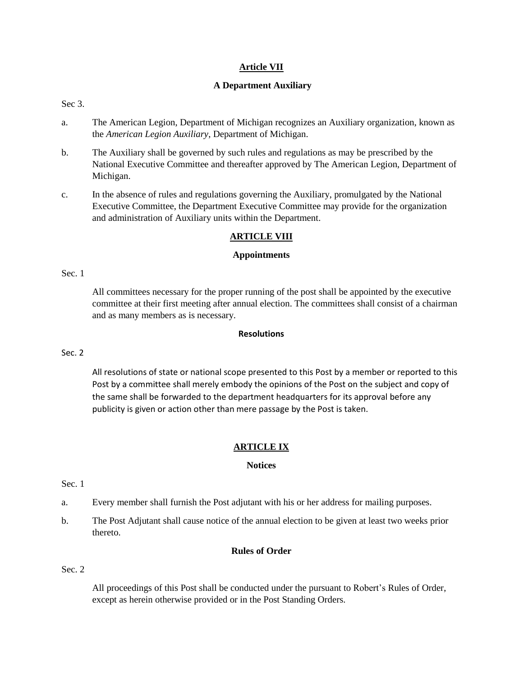## **Article VII**

## **A Department Auxiliary**

## Sec 3.

- a. The American Legion, Department of Michigan recognizes an Auxiliary organization, known as the *American Legion Auxiliary*, Department of Michigan.
- b. The Auxiliary shall be governed by such rules and regulations as may be prescribed by the National Executive Committee and thereafter approved by The American Legion, Department of Michigan.
- c. In the absence of rules and regulations governing the Auxiliary, promulgated by the National Executive Committee, the Department Executive Committee may provide for the organization and administration of Auxiliary units within the Department.

## **ARTICLE VIII**

#### **Appointments**

#### Sec. 1

All committees necessary for the proper running of the post shall be appointed by the executive committee at their first meeting after annual election. The committees shall consist of a chairman and as many members as is necessary.

#### **Resolutions**

## Sec. 2

All resolutions of state or national scope presented to this Post by a member or reported to this Post by a committee shall merely embody the opinions of the Post on the subject and copy of the same shall be forwarded to the department headquarters for its approval before any publicity is given or action other than mere passage by the Post is taken.

## **ARTICLE IX**

## **Notices**

## Sec. 1

- a. Every member shall furnish the Post adjutant with his or her address for mailing purposes.
- b. The Post Adjutant shall cause notice of the annual election to be given at least two weeks prior thereto.

## **Rules of Order**

# Sec. 2

All proceedings of this Post shall be conducted under the pursuant to Robert's Rules of Order, except as herein otherwise provided or in the Post Standing Orders.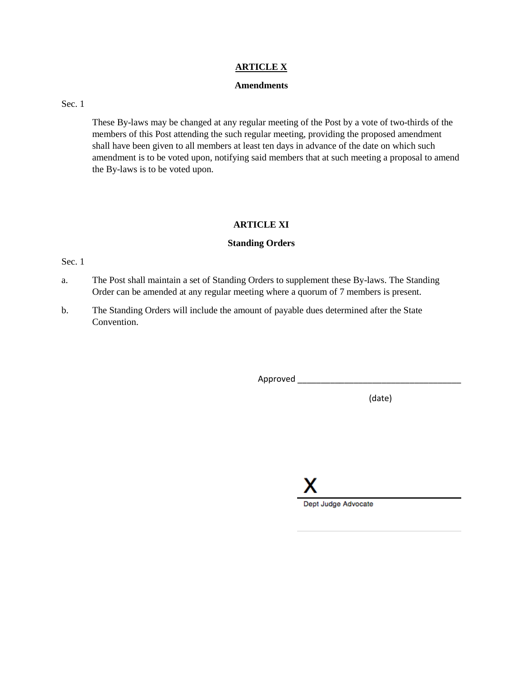## **ARTICLE X**

#### **Amendments**

## Sec. 1

These By-laws may be changed at any regular meeting of the Post by a vote of two-thirds of the members of this Post attending the such regular meeting, providing the proposed amendment shall have been given to all members at least ten days in advance of the date on which such amendment is to be voted upon, notifying said members that at such meeting a proposal to amend the By-laws is to be voted upon.

# **ARTICLE XI**

## **Standing Orders**

#### Sec. 1

- a. The Post shall maintain a set of Standing Orders to supplement these By-laws. The Standing Order can be amended at any regular meeting where a quorum of 7 members is present.
- b. The Standing Orders will include the amount of payable dues determined after the State Convention.

Approved \_\_\_\_\_\_\_\_\_\_\_\_\_\_\_\_\_\_\_\_\_\_\_\_\_\_\_\_\_\_\_\_\_\_\_

(date)